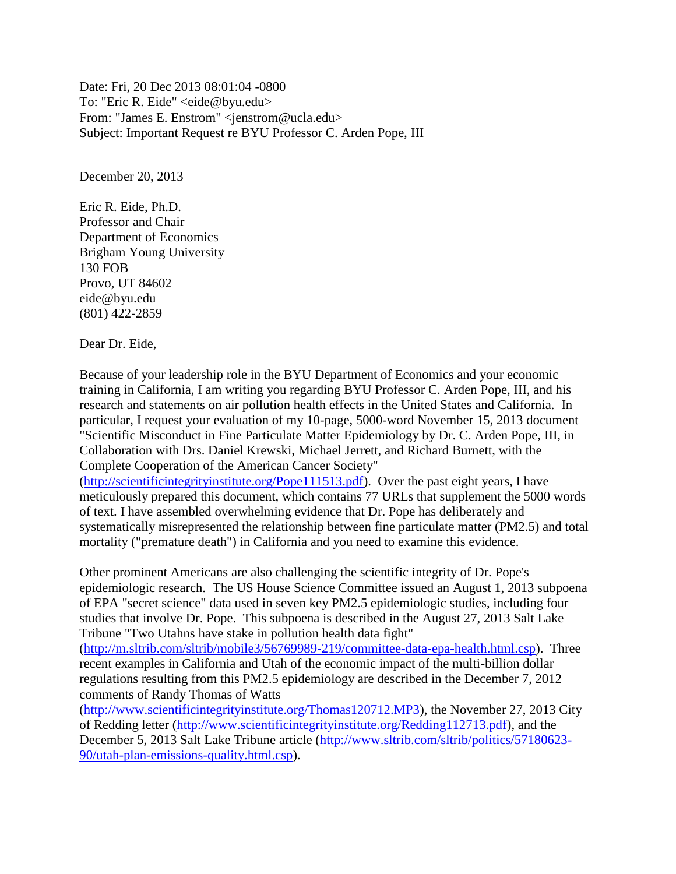Date: Fri, 20 Dec 2013 08:01:04 -0800 To: "Eric R. Eide" <eide@byu.edu> From: "James E. Enstrom" <jenstrom@ucla.edu> Subject: Important Request re BYU Professor C. Arden Pope, III

December 20, 2013

Eric R. Eide, Ph.D. Professor and Chair Department of Economics Brigham Young University 130 FOB Provo, UT 84602 eide@byu.edu (801) 422-2859

Dear Dr. Eide,

Because of your leadership role in the BYU Department of Economics and your economic training in California, I am writing you regarding BYU Professor C. Arden Pope, III, and his research and statements on air pollution health effects in the United States and California. In particular, I request your evaluation of my 10-page, 5000-word November 15, 2013 document "Scientific Misconduct in Fine Particulate Matter Epidemiology by Dr. C. Arden Pope, III, in Collaboration with Drs. Daniel Krewski, Michael Jerrett, and Richard Burnett, with the Complete Cooperation of the American Cancer Society"

[\(http://scientificintegrityinstitute.org/Pope111513.pdf\)](http://scientificintegrityinstitute.org/Pope111513.pdf). Over the past eight years, I have meticulously prepared this document, which contains 77 URLs that supplement the 5000 words of text. I have assembled overwhelming evidence that Dr. Pope has deliberately and systematically misrepresented the relationship between fine particulate matter (PM2.5) and total mortality ("premature death") in California and you need to examine this evidence.

Other prominent Americans are also challenging the scientific integrity of Dr. Pope's epidemiologic research. The US House Science Committee issued an August 1, 2013 subpoena of EPA "secret science" data used in seven key PM2.5 epidemiologic studies, including four studies that involve Dr. Pope. This subpoena is described in the August 27, 2013 Salt Lake Tribune "Two Utahns have stake in pollution health data fight"

[\(http://m.sltrib.com/sltrib/mobile3/56769989-219/committee-data-epa-health.html.csp\)](http://m.sltrib.com/sltrib/mobile3/56769989-219/committee-data-epa-health.html.csp). Three recent examples in California and Utah of the economic impact of the multi-billion dollar regulations resulting from this PM2.5 epidemiology are described in the December 7, 2012 comments of Randy Thomas of Watts

[\(http://www.scientificintegrityinstitute.org/Thomas120712.MP3\)](http://www.scientificintegrityinstitute.org/Thomas120712.MP3), the November 27, 2013 City of Redding letter [\(http://www.scientificintegrityinstitute.org/Redding112713.pdf\)](http://www.scientificintegrityinstitute.org/Redding112713.pdf), and the December 5, 2013 Salt Lake Tribune article [\(http://www.sltrib.com/sltrib/politics/57180623-](http://www.sltrib.com/sltrib/politics/57180623-90/utah-plan-emissions-quality.html.csp) [90/utah-plan-emissions-quality.html.csp\)](http://www.sltrib.com/sltrib/politics/57180623-90/utah-plan-emissions-quality.html.csp).